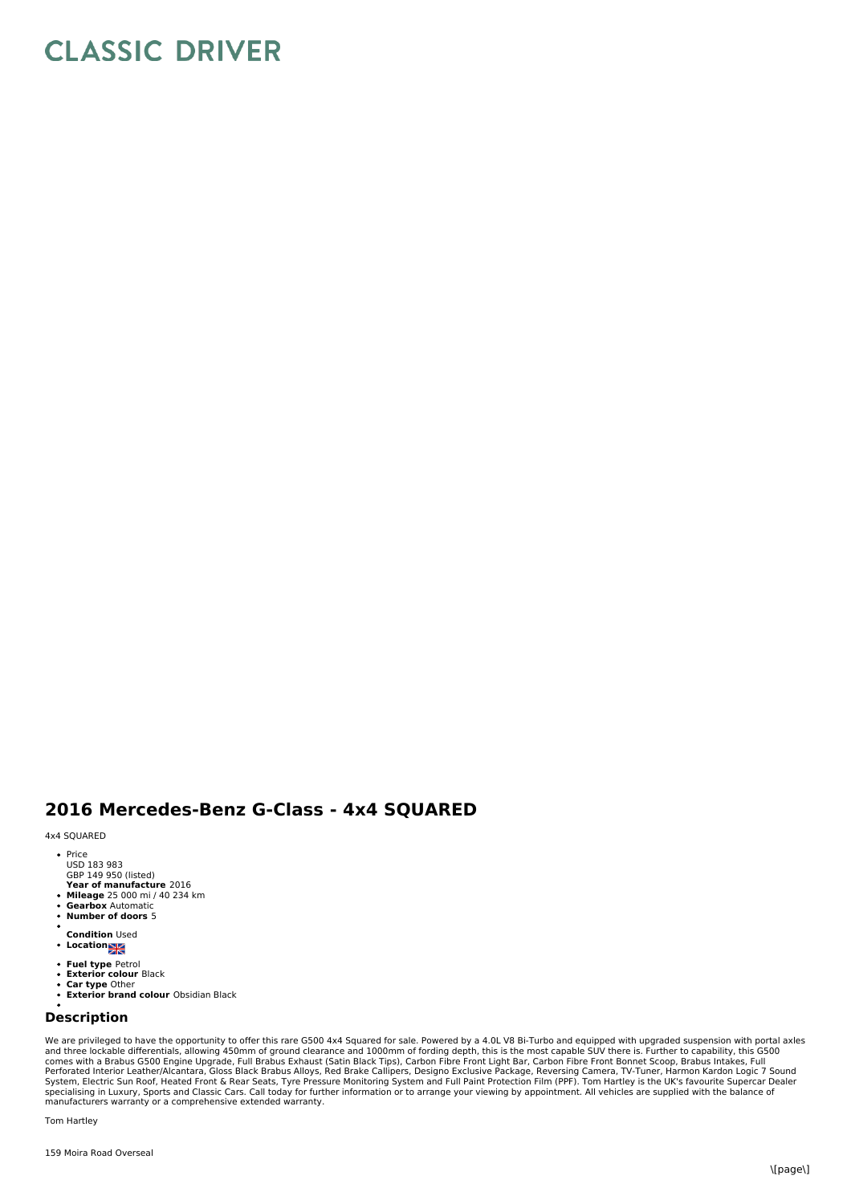## **CLASSIC DRIVER**

## **2016 Mercedes-Benz G-Class - 4x4 SQUARED**

4x4 SQUARED

- Price USD 183 983
- GBP 149 950 (listed)
- **Year of manufacture** 2016 **Mileage** 25 000 mi / 40 234 km
- **Gearbox** Automatic **Number of doors** 5
- 
- **Condition** Used
- **Location**
- **Fuel type** Petrol
- $\ddot{\phantom{0}}$ **Exterior colour** Black **Car type** Other
- 
- **Exterior brand colour** Obsidian Black  $\ddot{\phantom{a}}$

## **Description**

We are privileged to have the opportunity to offer this rare G500 4x4 Squared for sale. Powered by a 4.0L V8 Bi-Turbo and equipped with upgraded suspension with portal axles<br>and three lockable differentials, allowing 450mm manufacturers warranty or a comprehensive extended warranty.

Tom Hartley